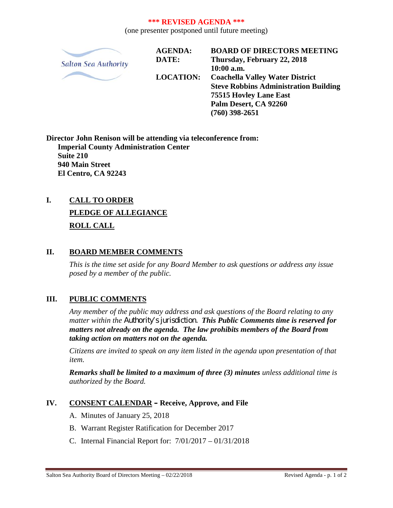#### **\*\*\* REVISED AGENDA \*\*\***

(one presenter postponed until future meeting)



**AGENDA: DATE:**

**LOCATION:**

**BOARD OF DIRECTORS MEETING Thursday, February 22, 2018 10:00 a.m. Coachella Valley Water District Steve Robbins Administration Building 75515 Hovley Lane East Palm Desert, CA 92260 (760) 398-2651**

**Director John Renison will be attending via teleconference from: Imperial County Administration Center Suite 210 940 Main Street El Centro, CA 92243**

**I. CALL TO ORDER PLEDGE OF ALLEGIANCE ROLL CALL**

## **II. BOARD MEMBER COMMENTS**

*This is the time set aside for any Board Member to ask questions or address any issue posed by a member of the public.*

# **III. PUBLIC COMMENTS**

*Any member of the public may address and ask questions of the Board relating to any matter within the Authority's jurisdiction. This Public Comments time is reserved for matters not already on the agenda. The law prohibits members of the Board from taking action on matters not on the agenda.*

*Citizens are invited to speak on any item listed in the agenda upon presentation of that item.*

*Remarks shall be limited to a maximum of three (3) minutes unless additional time is authorized by the Board.*

# **IV. CONSENT CALENDAR – Receive, Approve, and File**

- A. Minutes of January 25, 2018
- B. Warrant Register Ratification for December 2017
- C. Internal Financial Report for: 7/01/2017 01/31/2018